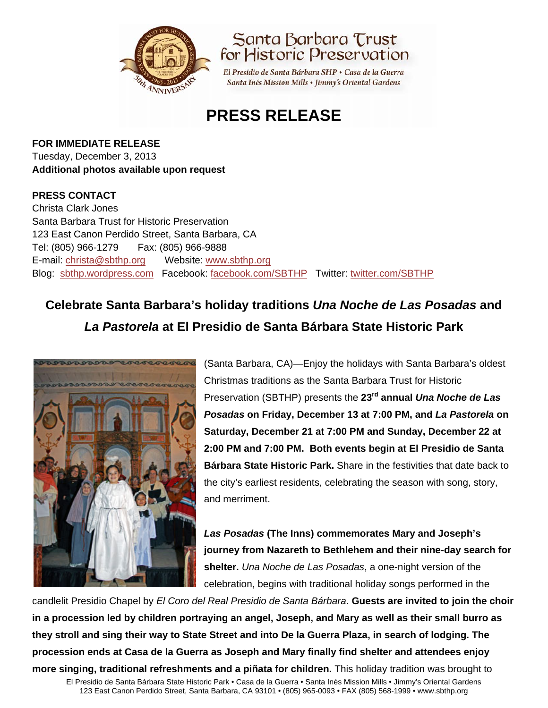



El Presidio de Santa Bárbara SHP · Casa de la Guerra Santa Inés Mission Mills • Jimmy's Oriental Gardens

# **PRESS RELEASE**

**FOR IMMEDIATE RELEASE** Tuesday, December 3, 2013 **Additional photos available upon request** 

## **PRESS CONTACT**

Christa Clark Jones Santa Barbara Trust for Historic Preservation 123 East Canon Perdido Street, Santa Barbara, CA Tel: (805) 966-1279 Fax: (805) 966-9888 E-mail: christa@sbthp.org Website: www.sbthp.org Blog: sbthp.wordpress.com Facebook: facebook.com/SBTHP Twitter: twitter.com/SBTHP

## **Celebrate Santa Barbara's holiday traditions** *Una Noche de Las Posadas* **and** *La Pastorela* **at El Presidio de Santa Bárbara State Historic Park**



(Santa Barbara, CA)—Enjoy the holidays with Santa Barbara's oldest Christmas traditions as the Santa Barbara Trust for Historic Preservation (SBTHP) presents the **23rd annual** *Una Noche de Las Posadas* **on Friday, December 13 at 7:00 PM, and** *La Pastorela* **on Saturday, December 21 at 7:00 PM and Sunday, December 22 at 2:00 PM and 7:00 PM. Both events begin at El Presidio de Santa Bárbara State Historic Park.** Share in the festivities that date back to the city's earliest residents, celebrating the season with song, story, and merriment.

*Las Posadas* **(The Inns) commemorates Mary and Joseph's journey from Nazareth to Bethlehem and their nine-day search for shelter.** *Una Noche de Las Posadas*, a one-night version of the celebration, begins with traditional holiday songs performed in the

El Presidio de Santa Bárbara State Historic Park • Casa de la Guerra • Santa Inés Mission Mills • Jimmy's Oriental Gardens candlelit Presidio Chapel by *El Coro del Real Presidio de Santa Bárbara*. **Guests are invited to join the choir in a procession led by children portraying an angel, Joseph, and Mary as well as their small burro as they stroll and sing their way to State Street and into De la Guerra Plaza, in search of lodging. The procession ends at Casa de la Guerra as Joseph and Mary finally find shelter and attendees enjoy more singing, traditional refreshments and a piñata for children.** This holiday tradition was brought to

123 East Canon Perdido Street, Santa Barbara, CA 93101 • (805) 965-0093 • FAX (805) 568-1999 • www.sbthp.org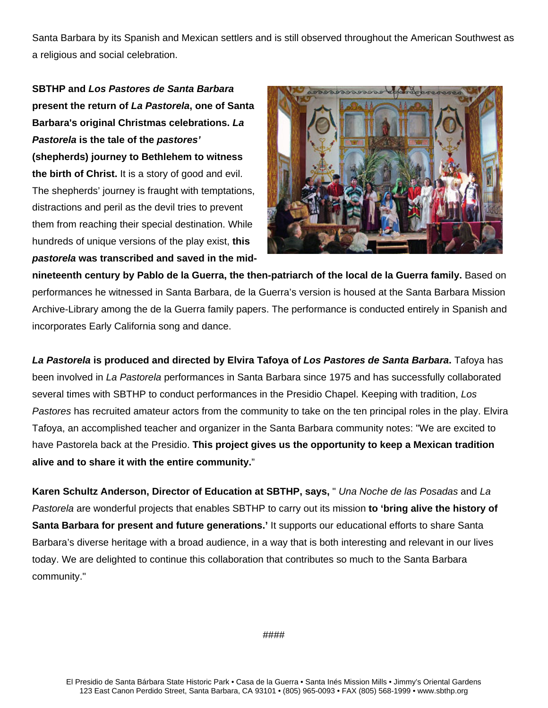Santa Barbara by its Spanish and Mexican settlers and is still observed throughout the American Southwest as a religious and social celebration.

**SBTHP and** *Los Pastores de Santa Barbara* **present the return of** *La Pastorela***, one of Santa Barbara's original Christmas celebrations.** *La Pastorela* **is the tale of the** *pastores'* **(shepherds) journey to Bethlehem to witness the birth of Christ.** It is a story of good and evil. The shepherds' journey is fraught with temptations, distractions and peril as the devil tries to prevent them from reaching their special destination. While hundreds of unique versions of the play exist, **this**  *pastorela* **was transcribed and saved in the mid-**



**nineteenth century by Pablo de la Guerra, the then-patriarch of the local de la Guerra family.** Based on performances he witnessed in Santa Barbara, de la Guerra's version is housed at the Santa Barbara Mission Archive-Library among the de la Guerra family papers. The performance is conducted entirely in Spanish and incorporates Early California song and dance.

*La Pastorela* **is produced and directed by Elvira Tafoya of** *Los Pastores de Santa Barbara***.** Tafoya has been involved in *La Pastorela* performances in Santa Barbara since 1975 and has successfully collaborated several times with SBTHP to conduct performances in the Presidio Chapel. Keeping with tradition, *Los Pastores* has recruited amateur actors from the community to take on the ten principal roles in the play. Elvira Tafoya, an accomplished teacher and organizer in the Santa Barbara community notes: "We are excited to have Pastorela back at the Presidio. **This project gives us the opportunity to keep a Mexican tradition alive and to share it with the entire community.**"

**Karen Schultz Anderson, Director of Education at SBTHP, says,** " *Una Noche de las Posadas* and *La Pastorela* are wonderful projects that enables SBTHP to carry out its mission **to 'bring alive the history of Santa Barbara for present and future generations.'** It supports our educational efforts to share Santa Barbara's diverse heritage with a broad audience, in a way that is both interesting and relevant in our lives today. We are delighted to continue this collaboration that contributes so much to the Santa Barbara community."

####